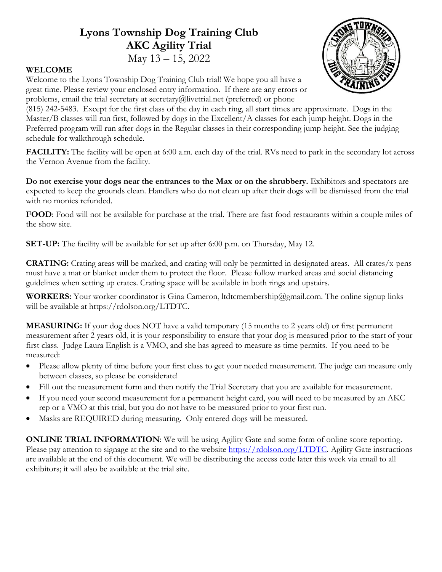### **Lyons Township Dog Training Club AKC Agility Trial** May 13 – 15, 2022



### **WELCOME**

Welcome to the Lyons Township Dog Training Club trial! We hope you all have a great time. Please review your enclosed entry information. If there are any errors or problems, email the trial secretary at secretary@livetrial.net (preferred) or phone

(815) 242-5483. Except for the first class of the day in each ring, all start times are approximate. Dogs in the Master/B classes will run first, followed by dogs in the Excellent/A classes for each jump height. Dogs in the Preferred program will run after dogs in the Regular classes in their corresponding jump height. See the judging schedule for walkthrough schedule.

**FACILITY:** The facility will be open at 6:00 a.m. each day of the trial. RVs need to park in the secondary lot across the Vernon Avenue from the facility.

**Do not exercise your dogs near the entrances to the Max or on the shrubbery.** Exhibitors and spectators are expected to keep the grounds clean. Handlers who do not clean up after their dogs will be dismissed from the trial with no monies refunded.

**FOOD**: Food will not be available for purchase at the trial. There are fast food restaurants within a couple miles of the show site.

**SET-UP:** The facility will be available for set up after 6:00 p.m. on Thursday, May 12.

**CRATING:** Crating areas will be marked, and crating will only be permitted in designated areas. All crates/x-pens must have a mat or blanket under them to protect the floor. Please follow marked areas and social distancing guidelines when setting up crates. Crating space will be available in both rings and upstairs.

**WORKERS:** Your worker coordinator is Gina Cameron, ltdtcmembership@gmail.com. The online signup links will be available at https://rdolson.org/LTDTC.

**MEASURING:** If your dog does NOT have a valid temporary (15 months to 2 years old) or first permanent measurement after 2 years old, it is your responsibility to ensure that your dog is measured prior to the start of your first class. Judge Laura English is a VMO, and she has agreed to measure as time permits. If you need to be measured:

- Please allow plenty of time before your first class to get your needed measurement. The judge can measure only between classes, so please be considerate!
- Fill out the measurement form and then notify the Trial Secretary that you are available for measurement.
- If you need your second measurement for a permanent height card, you will need to be measured by an AKC rep or a VMO at this trial, but you do not have to be measured prior to your first run.
- Masks are REQUIRED during measuring. Only entered dogs will be measured.

**ONLINE TRIAL INFORMATION:** We will be using Agility Gate and some form of online score reporting. Please pay attention to signage at the site and to the website https://rdolson.org/LTDTC. Agility Gate instructions are available at the end of this document. We will be distributing the access code later this week via email to all exhibitors; it will also be available at the trial site.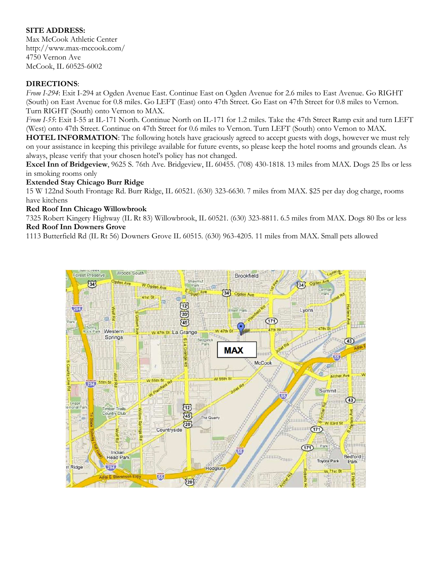### **SITE ADDRESS:**

Max McCook Athletic Center http://www.max-mccook.com/ 4750 Vernon Ave McCook, IL 60525-6002

#### **DIRECTIONS**:

*From I-294*: Exit I-294 at Ogden Avenue East. Continue East on Ogden Avenue for 2.6 miles to East Avenue. Go RIGHT (South) on East Avenue for 0.8 miles. Go LEFT (East) onto 47th Street. Go East on 47th Street for 0.8 miles to Vernon. Turn RIGHT (South) onto Vernon to MAX.

*From I-55*: Exit I-55 at IL-171 North. Continue North on IL-171 for 1.2 miles. Take the 47th Street Ramp exit and turn LEFT (West) onto 47th Street. Continue on 47th Street for 0.6 miles to Vernon. Turn LEFT (South) onto Vernon to MAX.

**HOTEL INFORMATION**: The following hotels have graciously agreed to accept guests with dogs, however we must rely on your assistance in keeping this privilege available for future events, so please keep the hotel rooms and grounds clean. As always, please verify that your chosen hotel's policy has not changed.

**Excel Inn of Bridgeview**, 9625 S. 76th Ave. Bridgeview, IL 60455. (708) 430-1818. 13 miles from MAX. Dogs 25 lbs or less in smoking rooms only

#### **Extended Stay Chicago Burr Ridge**

15 W 122nd South Frontage Rd. Burr Ridge, IL 60521. (630) 323-6630. 7 miles from MAX. \$25 per day dog charge, rooms have kitchens

#### **Red Roof Inn Chicago Willowbrook**

7325 Robert Kingery Highway (IL Rt 83) Willowbrook, IL 60521. (630) 323-8811. 6.5 miles from MAX. Dogs 80 lbs or less **Red Roof Inn Downers Grove**

1113 Butterfield Rd (IL Rt 56) Downers Grove IL 60515. (630) 963-4205. 11 miles from MAX. Small pets allowed

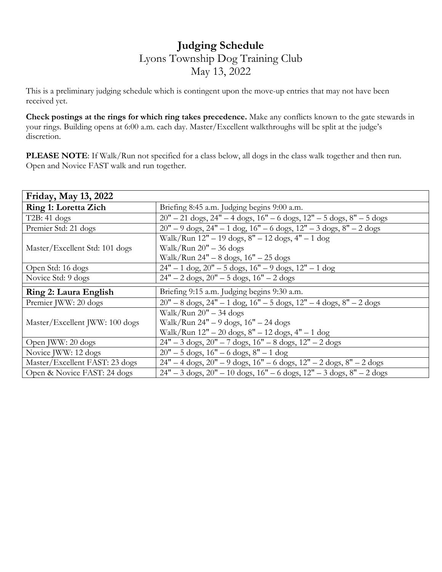## **Judging Schedule** Lyons Township Dog Training Club May 13, 2022

This is a preliminary judging schedule which is contingent upon the move-up entries that may not have been received yet.

**Check postings at the rings for which ring takes precedence.** Make any conflicts known to the gate stewards in your rings. Building opens at 6:00 a.m. each day. Master/Excellent walkthroughs will be split at the judge's discretion.

**PLEASE NOTE**: If Walk/Run not specified for a class below, all dogs in the class walk together and then run. Open and Novice FAST walk and run together.

| Friday, May 13, 2022           |                                                                                                               |
|--------------------------------|---------------------------------------------------------------------------------------------------------------|
| <b>Ring 1: Loretta Zich</b>    | Briefing 8:45 a.m. Judging begins 9:00 a.m.                                                                   |
| $T2B: 41 \text{ dogs}$         | $20" - 21$ dogs, $24" - 4$ dogs, $16" - 6$ dogs, $12" - 5$ dogs, $8" - 5$ dogs                                |
| Premier Std: 21 dogs           | $20" - 9$ dogs, $24" - 1$ dog, $16" - 6$ dogs, $12" - 3$ dogs, $8" - 2$ dogs                                  |
|                                | Walk/Run 12" - 19 dogs, 8" - 12 dogs, 4" - 1 dog                                                              |
| Master/Excellent Std: 101 dogs | Walk/Run $20" - 36$ dogs                                                                                      |
|                                | Walk/Run $24" - 8$ dogs, $16" - 25$ dogs                                                                      |
| Open Std: 16 dogs              | $24" - 1 \text{ dog}, 20" - 5 \text{ dogs}, 16" - 9 \text{ dogs}, 12" - 1 \text{ dog}$                        |
| Novice Std: 9 dogs             | $24" - 2 \text{ dogs}, 20" - 5 \text{ dogs}, 16" - 2 \text{ dogs}$                                            |
| Ring 2: Laura English          | Briefing 9:15 a.m. Judging begins 9:30 a.m.                                                                   |
| Premier JWW: 20 dogs           | $20" - 8$ dogs, $24" - 1$ dog, $16" - 5$ dogs, $12" - 4$ dogs, $8" - 2$ dogs                                  |
|                                | Walk/Run $20" - 34$ dogs                                                                                      |
| Master/Excellent JWW: 100 dogs | Walk/Run $24" - 9$ dogs, $16" - 24$ dogs                                                                      |
|                                | Walk/Run 12" - 20 dogs, 8" - 12 dogs, 4" - 1 dog                                                              |
| Open JWW: 20 dogs              | $24" - 3$ dogs, $20" - 7$ dogs, $16" - 8$ dogs, $12" - 2$ dogs                                                |
| Novice JWW: 12 dogs            | $20" - 5$ dogs, $16" - 6$ dogs, $8" - 1$ dog                                                                  |
| Master/Excellent FAST: 23 dogs | $24" - 4 \text{ dogs}, 20" - 9 \text{ dogs}, 16" - 6 \text{ dogs}, 12" - 2 \text{ dogs}, 8" - 2 \text{ dogs}$ |
| Open & Novice FAST: 24 dogs    | $24" - 3$ dogs, $20" - 10$ dogs, $16" - 6$ dogs, $12" - 3$ dogs, $8" - 2$ dogs                                |